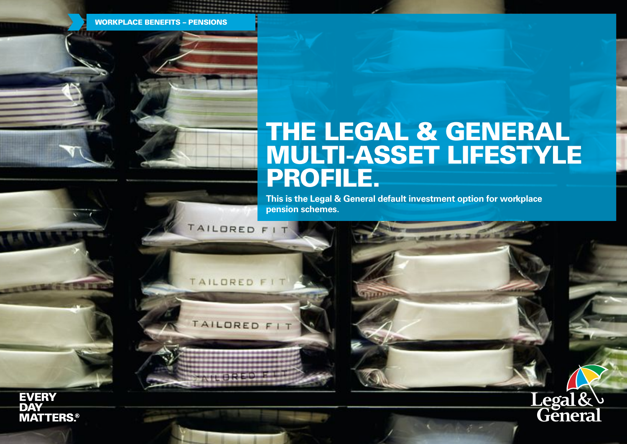WORKPLACE BENEFITS – PENSIONS

TAILDRED F

TAILORED FIT

TAILORE

# THE LEGAL & GENERAL MULTI-ASSET LIFESTYLE PROFILE.

 $27.38$ 

Legal&

**This is the Legal & General default investment option for workplace pension schemes.**

**EVERY DAY MATTERS.®**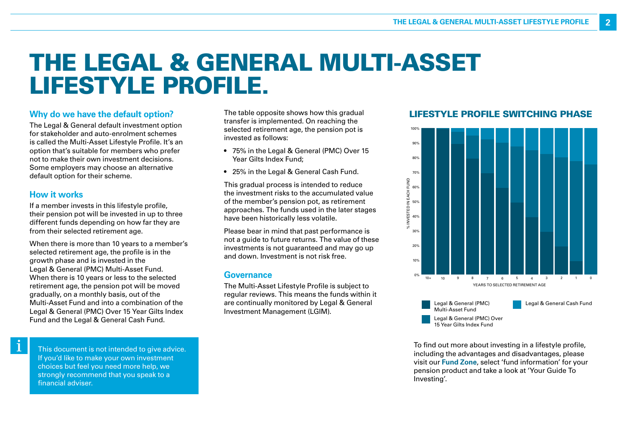# THE LEGAL & GENERAL MULTI-ASSET LIFESTYLE PROFILE.

### **Why do we have the default option?**

The Legal & General default investment option for stakeholder and auto-enrolment schemes is called the Multi-Asset Lifestyle Profile. It's an option that's suitable for members who prefer not to make their own investment decisions. Some employers may choose an alternative default option for their scheme.

#### **How it works**

 $\mathbf i$ 

If a member invests in this lifestyle profile, their pension pot will be invested in up to three different funds depending on how far they are from their selected retirement age.

When there is more than 10 years to a member's selected retirement age, the profile is in the growth phase and is invested in the Legal & General (PMC) Multi-Asset Fund. When there is 10 years or less to the selected retirement age, the pension pot will be moved gradually, on a monthly basis, out of the Multi-Asset Fund and into a combination of the Legal & General (PMC) Over 15 Year Gilts Index Fund and the Legal & General Cash Fund.

The table opposite shows how this gradual transfer is implemented. On reaching the selected retirement age, the pension pot is invested as follows:

- 75% in the Legal & General (PMC) Over 15 Year Gilts Index Fund;
- 25% in the Legal & General Cash Fund.

This gradual process is intended to reduce the investment risks to the accumulated value of the member's pension pot, as retirement approaches. The funds used in the later stages have been historically less volatile.

Please bear in mind that past performance is not a guide to future returns. The value of these investments is not guaranteed and may go up and down. Investment is not risk free.

#### **Governance**

The Multi-Asset Lifestyle Profile is subject to regular reviews. This means the funds within it are continually monitored by Legal & General Investment Management (LGIM).

## LIFESTYLE PROFILE SWITCHING PHASE



To find out more about investing in a lifestyle profile, including the advantages and disadvantages, please visit our **Fund Zone**, select 'fund information' for your pension product and take a look at 'Your Guide To Investing'.

This document is not intended to give advice. If you'd like to make your own investment choices but feel you need more help, we strongly recommend that you speak to a financial adviser.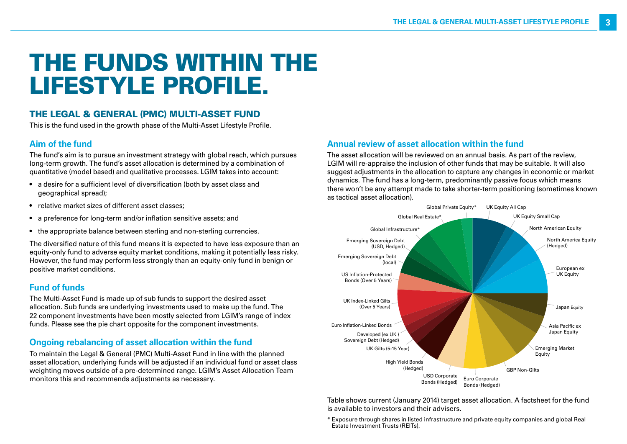# THE FUNDS WITHIN THE LIFESTYLE PROFILE.

## THE LEGAL & GENERAL (PMC) MULTI-ASSET FUND

This is the fund used in the growth phase of the Multi-Asset Lifestyle Profile.

#### **Aim of the fund**

The fund's aim is to pursue an investment strategy with global reach, which pursues long-term growth. The fund's asset allocation is determined by a combination of quantitative (model based) and qualitative processes. LGIM takes into account:

- a desire for a sufficient level of diversification (both by asset class and geographical spread);
- relative market sizes of different asset classes;
- a preference for long-term and/or inflation sensitive assets; and
- the appropriate balance between sterling and non-sterling currencies.

The diversified nature of this fund means it is expected to have less exposure than an equity-only fund to adverse equity market conditions, making it potentially less risky. However, the fund may perform less strongly than an equity-only fund in benign or positive market conditions.

### **Fund of funds**

The Multi-Asset Fund is made up of sub funds to support the desired asset allocation. Sub funds are underlying investments used to make up the fund. The 22 component investments have been mostly selected from LGIM's range of index funds. Please see the pie chart opposite for the component investments.

## **Ongoing rebalancing of asset allocation within the fund**

To maintain the Legal & General (PMC) Multi-Asset Fund in line with the planned asset allocation, underlying funds will be adjusted if an individual fund or asset class weighting moves outside of a pre-determined range. LGIM's Asset Allocation Team monitors this and recommends adjustments as necessary.

### **Annual review of asset allocation within the fund**

The asset allocation will be reviewed on an annual basis. As part of the review, LGIM will re-appraise the inclusion of other funds that may be suitable. It will also suggest adjustments in the allocation to capture any changes in economic or market dynamics. The fund has a long-term, predominantly passive focus which means there won't be any attempt made to take shorter-term positioning (sometimes known as tactical asset allocation).



Table shows current (January 2014) target asset allocation. A factsheet for the fund is available to investors and their advisers.

\* Exposure through shares in listed infrastructure and private equity companies and global Real Estate Investment Trusts (REITs).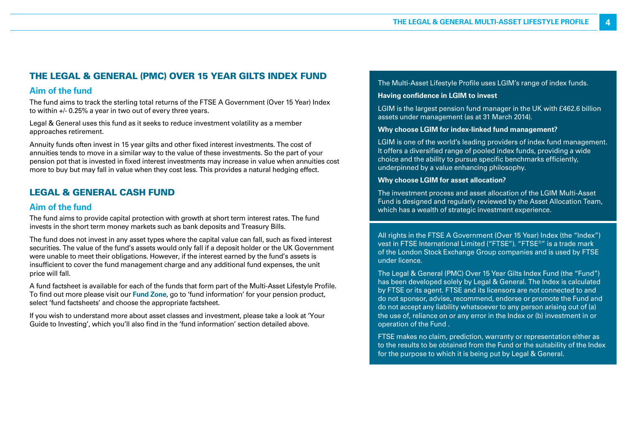## THE LEGAL & GENERAL (PMC) OVER 15 YEAR GILTS INDEX FUND

### **Aim of the fund**

The fund aims to track the sterling total returns of the FTSE A Government (Over 15 Year) Index to within +/- 0.25% a year in two out of every three years.

Legal & General uses this fund as it seeks to reduce investment volatility as a member approaches retirement.

Annuity funds often invest in 15 year gilts and other fixed interest investments. The cost of annuities tends to move in a similar way to the value of these investments. So the part of your pension pot that is invested in fixed interest investments may increase in value when annuities cost more to buy but may fall in value when they cost less. This provides a natural hedging effect.

## LEGAL & GENERAL CASH FUND

#### **Aim of the fund**

The fund aims to provide capital protection with growth at short term interest rates. The fund invests in the short term money markets such as bank deposits and Treasury Bills.

The fund does not invest in any asset types where the capital value can fall, such as fixed interest securities. The value of the fund's assets would only fall if a deposit holder or the UK Government were unable to meet their obligations. However, if the interest earned by the fund's assets is insufficient to cover the fund management charge and any additional fund expenses, the unit price will fall.

A fund factsheet is available for each of the funds that form part of the Multi-Asset Lifestyle Profile. To find out more please visit our **Fund Zone**, go to 'fund information' for your pension product, select 'fund factsheets' and choose the appropriate factsheet.

If you wish to understand more about asset classes and investment, please take a look at 'Your Guide to Investing', which you'll also find in the 'fund information' section detailed above.

#### The Multi-Asset Lifestyle Profile uses LGIM's range of index funds.

#### **Having confidence in LGIM to invest**

LGIM is the largest pension fund manager in the UK with £462.6 billion assets under management (as at 31 March 2014).

#### **Why choose LGIM for index-linked fund management?**

LGIM is one of the world's leading providers of index fund management. It offers a diversified range of pooled index funds, providing a wide choice and the ability to pursue specific benchmarks efficiently, underpinned by a value enhancing philosophy.

#### **Why choose LGIM for asset allocation?**

The investment process and asset allocation of the LGIM Multi-Asset Fund is designed and regularly reviewed by the Asset Allocation Team, which has a wealth of strategic investment experience.

All rights in the FTSE A Government (Over 15 Year) Index (the "Index") vest in FTSE International Limited ("FTSE"). "FTSE®" is a trade mark of the London Stock Exchange Group companies and is used by FTSE under licence.

The Legal & General (PMC) Over 15 Year Gilts Index Fund (the "Fund") has been developed solely by Legal & General. The Index is calculated by FTSE or its agent. FTSE and its licensors are not connected to and do not sponsor, advise, recommend, endorse or promote the Fund and do not accept any liability whatsoever to any person arising out of (a) the use of, reliance on or any error in the Index or (b) investment in or operation of the Fund .

FTSE makes no claim, prediction, warranty or representation either as to the results to be obtained from the Fund or the suitability of the Index for the purpose to which it is being put by Legal & General.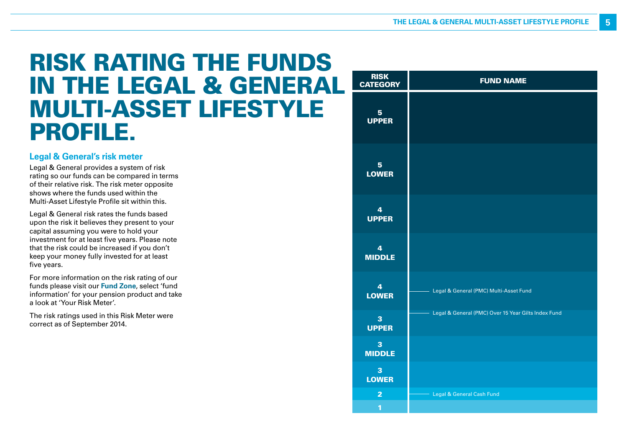# RISK RATING THE FUNDS IN THE LEGAL & GENERAL MULTI-ASSET LIFESTYLE PROFILE.

### **Legal & General's risk meter**

Legal & General provides a system of risk rating so our funds can be compared in terms of their relative risk. The risk meter opposite shows where the funds used within the Multi-Asset Lifestyle Profile sit within this.

Legal & General risk rates the funds based upon the risk it believes they present to your capital assuming you were to hold your investment for at least five years. Please note that the risk could be increased if you don't keep your money fully invested for at least five years.

For more information on the risk rating of our funds please visit our **Fund Zone**, select 'fund information' for your pension product and take a look at 'Your Risk Meter'.

The risk ratings used in this Risk Meter were correct as of September 2014.

| <b>RISK</b><br><b>CATEGORY</b>           | <b>FUND NAME</b>                                    |
|------------------------------------------|-----------------------------------------------------|
| 5 <sup>5</sup><br><b>UPPER</b>           |                                                     |
| 5 <sup>1</sup><br><b>LOWER</b>           |                                                     |
| $\overline{\mathbf{4}}$<br><b>UPPER</b>  |                                                     |
| $\overline{4}$<br><b>MIDDLE</b>          |                                                     |
| $\overline{4}$<br><b>LOWER</b>           | Legal & General (PMC) Multi-Asset Fund              |
| 3<br><b>UPPER</b>                        | Legal & General (PMC) Over 15 Year Gilts Index Fund |
| $\overline{\mathbf{3}}$<br><b>MIDDLE</b> |                                                     |
| 3<br><b>LOWER</b>                        |                                                     |
| $\overline{2}$<br>$\overline{1}$         | Legal & General Cash Fund                           |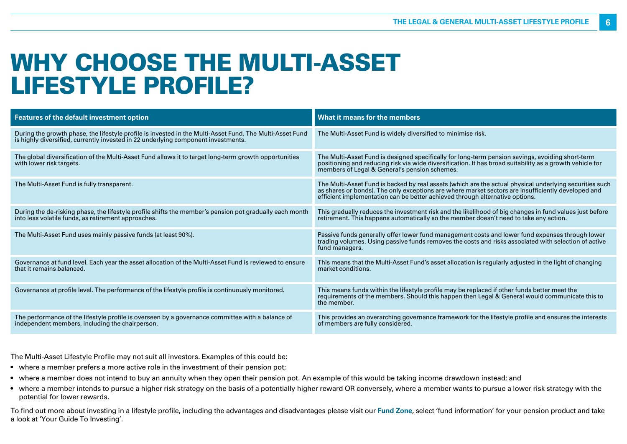# WHY CHOOSE THE MULTI-ASSET LIFESTYLE PROFILE?

| <b>Features of the default investment option</b>                                                                                                                                              | What it means for the members                                                                                                                                                                                                                                                                 |
|-----------------------------------------------------------------------------------------------------------------------------------------------------------------------------------------------|-----------------------------------------------------------------------------------------------------------------------------------------------------------------------------------------------------------------------------------------------------------------------------------------------|
| During the growth phase, the lifestyle profile is invested in the Multi-Asset Fund. The Multi-Asset Fund<br>is highly diversified, currently invested in 22 underlying component investments. | The Multi-Asset Fund is widely diversified to minimise risk.                                                                                                                                                                                                                                  |
| The global diversification of the Multi-Asset Fund allows it to target long-term growth opportunities<br>with lower risk targets.                                                             | The Multi-Asset Fund is designed specifically for long-term pension savings, avoiding short-term<br>positioning and reducing risk via wide diversification. It has broad suitability as a growth vehicle for<br>members of Legal & General's pension schemes.                                 |
| The Multi-Asset Fund is fully transparent.                                                                                                                                                    | The Multi-Asset Fund is backed by real assets (which are the actual physical underlying securities such<br>as shares or bonds). The only exceptions are where market sectors are insufficiently developed and<br>efficient implementation can be better achieved through alternative options. |
| During the de-risking phase, the lifestyle profile shifts the member's pension pot gradually each month<br>into less volatile funds, as retirement approaches.                                | This gradually reduces the investment risk and the likelihood of big changes in fund values just before<br>retirement. This happens automatically so the member doesn't need to take any action.                                                                                              |
| The Multi-Asset Fund uses mainly passive funds (at least 90%).                                                                                                                                | Passive funds generally offer lower fund management costs and lower fund expenses through lower<br>trading volumes. Using passive funds removes the costs and risks associated with selection of active<br>fund managers.                                                                     |
| Governance at fund level. Each year the asset allocation of the Multi-Asset Fund is reviewed to ensure<br>that it remains balanced.                                                           | This means that the Multi-Asset Fund's asset allocation is regularly adjusted in the light of changing<br>market conditions.                                                                                                                                                                  |
| Governance at profile level. The performance of the lifestyle profile is continuously monitored.                                                                                              | This means funds within the lifestyle profile may be replaced if other funds better meet the<br>requirements of the members. Should this happen then Legal & General would communicate this to<br>the member.                                                                                 |
| The performance of the lifestyle profile is overseen by a governance committee with a balance of<br>independent members, including the chairperson.                                           | This provides an overarching governance framework for the lifestyle profile and ensures the interests<br>of members are fully considered.                                                                                                                                                     |

The Multi-Asset Lifestyle Profile may not suit all investors. Examples of this could be:

- where a member prefers a more active role in the investment of their pension pot;
- where a member does not intend to buy an annuity when they open their pension pot. An example of this would be taking income drawdown instead; and
- where a member intends to pursue a higher risk strategy on the basis of a potentially higher reward OR conversely, where a member wants to pursue a lower risk strategy with the potential for lower rewards.

To find out more about investing in a lifestyle profile, including the advantages and disadvantages please visit our **Fund Zone**, select 'fund information' for your pension product and take a look at 'Your Guide To Investing'.